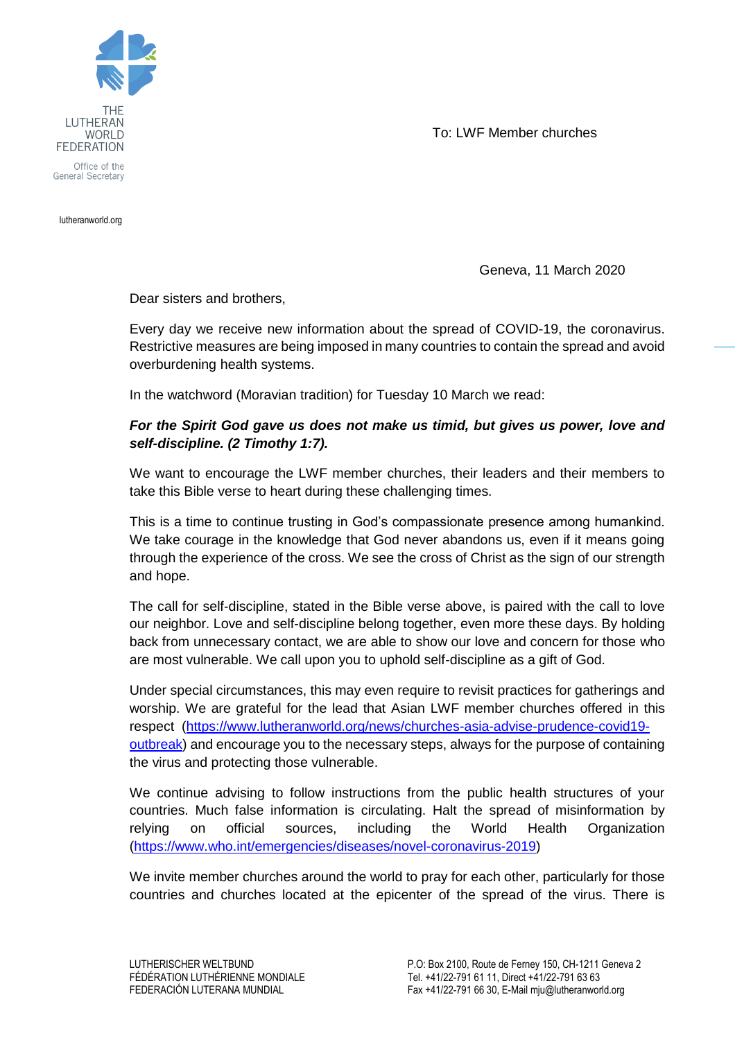To: LWF Member churches



lutheranworld.org

Geneva, 11 March 2020

Dear sisters and brothers,

Every day we receive new information about the spread of COVID-19, the coronavirus. Restrictive measures are being imposed in many countries to contain the spread and avoid overburdening health systems.

In the watchword (Moravian tradition) for Tuesday 10 March we read:

## *For the Spirit God gave us does not make us timid, but gives us power, love and self-discipline. (2 Timothy 1:7).*

We want to encourage the LWF member churches, their leaders and their members to take this Bible verse to heart during these challenging times.

This is a time to continue trusting in God's compassionate presence among humankind. We take courage in the knowledge that God never abandons us, even if it means going through the experience of the cross. We see the cross of Christ as the sign of our strength and hope.

The call for self-discipline, stated in the Bible verse above, is paired with the call to love our neighbor. Love and self-discipline belong together, even more these days. By holding back from unnecessary contact, we are able to show our love and concern for those who are most vulnerable. We call upon you to uphold self-discipline as a gift of God.

Under special circumstances, this may even require to revisit practices for gatherings and worship. We are grateful for the lead that Asian LWF member churches offered in this respect. [\(https://www.lutheranworld.org/news/churches-asia-advise-prudence-covid19](https://www.lutheranworld.org/news/churches-asia-advise-prudence-covid19-outbreak) [outbreak\)](https://www.lutheranworld.org/news/churches-asia-advise-prudence-covid19-outbreak) and encourage you to the necessary steps, always for the purpose of containing the virus and protecting those vulnerable.

We continue advising to follow instructions from the public health structures of your countries. Much false information is circulating. Halt the spread of misinformation by relying on official sources, including the World Health Organization [\(https://www.who.int/emergencies/diseases/novel-coronavirus-2019\)](https://www.who.int/emergencies/diseases/novel-coronavirus-2019)

We invite member churches around the world to pray for each other, particularly for those countries and churches located at the epicenter of the spread of the virus. There is